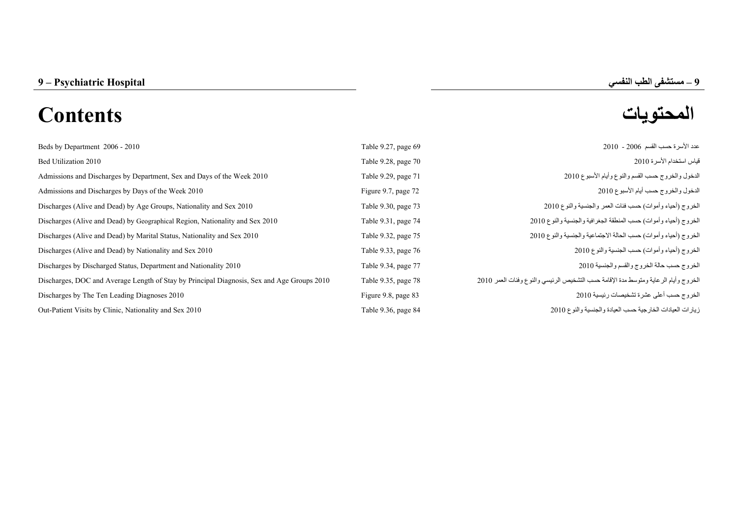# **المحتويات Contents**

**–**

| Beds by Department 2006 - 2010                                                             | Table 9.27, page 69 | عدد الأسر ة حسب القسم 2006 - 2010                                                   |
|--------------------------------------------------------------------------------------------|---------------------|-------------------------------------------------------------------------------------|
| Bed Utilization 2010                                                                       | Table 9.28, page 70 | قياس استخدام الأسرة 2010                                                            |
| Admissions and Discharges by Department, Sex and Days of the Week 2010                     | Table 9.29, page 71 | الدخول والخروج حسب القسم والنوع وأيام الأسبوع 2010                                  |
| Admissions and Discharges by Days of the Week 2010                                         | Figure 9.7, page 72 | الدخول والخروج حسب أيام الأسبوع 2010                                                |
| Discharges (Alive and Dead) by Age Groups, Nationality and Sex 2010                        | Table 9.30, page 73 | الخروج (أحياء وأموات) حسب فئات العمر والجنسية والنوع 2010                           |
| Discharges (Alive and Dead) by Geographical Region, Nationality and Sex 2010               | Table 9.31, page 74 | الخروج (أحياء وأموات) حسب المنطقة الجغرافية والجنسية والنوع 2010                    |
| Discharges (Alive and Dead) by Marital Status, Nationality and Sex 2010                    | Table 9.32, page 75 | الغروج (أحياء وأموات) حسب الحالة الاجتماعية والجنسية والنوع 2010                    |
| Discharges (Alive and Dead) by Nationality and Sex 2010                                    | Table 9.33, page 76 | الخروج (أحياء وأموات) حسب الجنسية والنوع 2010                                       |
| Discharges by Discharged Status, Department and Nationality 2010                           | Table 9.34, page 77 | الخروج حسب حالة الخروج والقسم والجنسية 2010                                         |
| Discharges, DOC and Average Length of Stay by Principal Diagnosis, Sex and Age Groups 2010 | Table 9.35, page 78 | الخروج وأيام الرعاية ومتوسط مدة الإقامة حسب التشخيص الرئيسي والنوع وفئات العمر 2010 |
| Discharges by The Ten Leading Diagnoses 2010                                               | Figure 9.8, page 83 | الخروج حسب أعلى عشرة تشخيصات رئيسية 2010                                            |
| Out-Patient Visits by Clinic, Nationality and Sex 2010                                     | Table 9.36, page 84 | زيارات العيادات الخارجية حسب العيادة والجنسية والنوع 2010                           |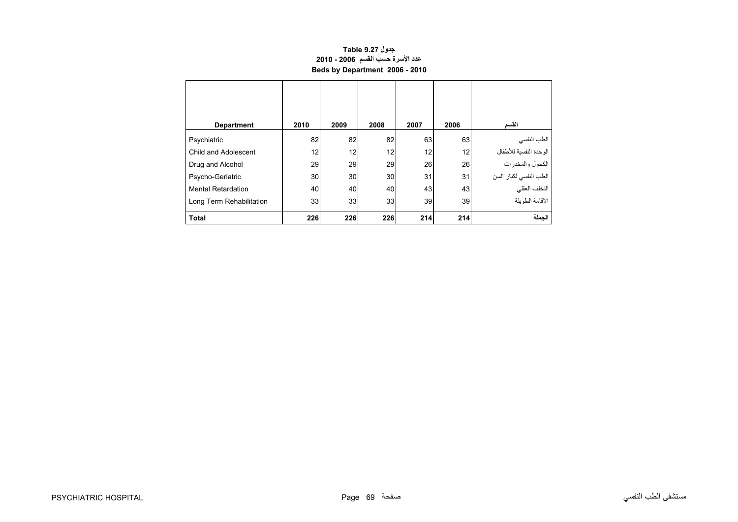## **جدول 9.27 Table عدد األسرة حسب القسم 2006 - 2010 Beds by Department 2006 - 2010**

<span id="page-1-0"></span>

| <b>Department</b>         | 2010 | 2009 | 2008 | 2007 | 2006 | القسم                  |
|---------------------------|------|------|------|------|------|------------------------|
| Psychiatric               | 82   | 82   | 82   | 63   | 63   | الطب النفسي            |
| Child and Adolescent      | 12   | 12   | 12   | 12   | 12   | الوحدة النفسية للأطفال |
| Drug and Alcohol          | 29   | 29   | 29   | 26   | 26   | الكحول والمخدرات       |
| Psycho-Geriatric          | 30   | 30   | 30   | 31   | 31   | الطب النفسي لكبار السن |
| <b>Mental Retardation</b> | 40   | 40   | 40   | 43   | 43   | التخلف العقلي          |
| Long Term Rehabilitation  | 33   | 33   | 33   | 39   | 39   | الاقامة الطويلة        |
| <b>Total</b>              | 226  | 226  | 226  | 214  | 214  | الحملة                 |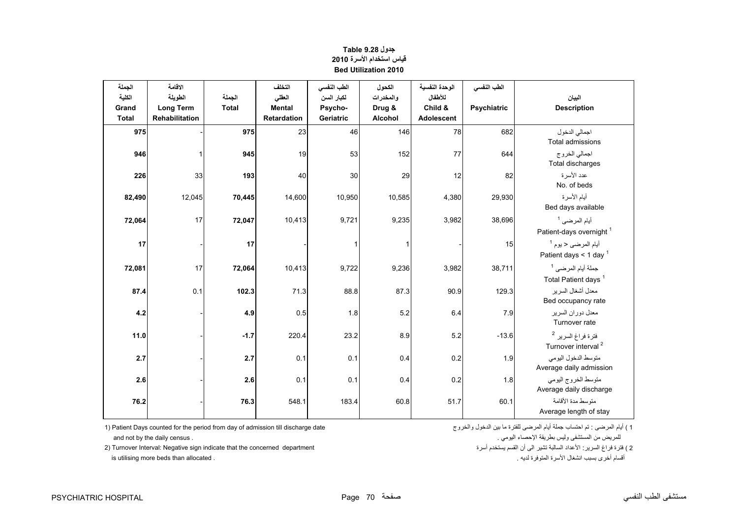<span id="page-2-0"></span>

| الجملة       | الاقامة          |              | التخلف        | الطب النفسي  | الكحول    | الوحدة النفسية | الطب النفسي        |                                     |
|--------------|------------------|--------------|---------------|--------------|-----------|----------------|--------------------|-------------------------------------|
| الكلية       | الطويلة          | الجملة       | العقلى        | لكبار السن   | والمخدرات | للأطفال        |                    | البيان                              |
| Grand        | <b>Long Term</b> | <b>Total</b> | <b>Mental</b> | Psycho-      | Drug &    | Child &        | <b>Psychiatric</b> | <b>Description</b>                  |
| <b>Total</b> | Rehabilitation   |              | Retardation   | Geriatric    | Alcohol   | Adolescent     |                    |                                     |
| 975          |                  | 975          | 23            | 46           | 146       | 78             | 682                | اجمالي الدخول                       |
|              |                  |              |               |              |           |                |                    | <b>Total admissions</b>             |
| 946          |                  | 945          | 19            | 53           | 152       | 77             | 644                | اجمالي الخروج                       |
|              |                  |              |               |              |           |                |                    | Total discharges                    |
| 226          | 33               | 193          | 40            | 30           | 29        | 12             | 82                 | عدد الأسر ة                         |
|              |                  |              |               |              |           |                |                    | No. of beds                         |
| 82,490       | 12,045           | 70,445       | 14,600        | 10,950       | 10,585    | 4,380          | 29,930             | أيام الأسرة                         |
|              |                  |              |               |              |           |                |                    | Bed days available                  |
| 72,064       | 17               | 72,047       | 10,413        | 9,721        | 9,235     | 3,982          | 38,696             | أيام المرضى <sup>1</sup>            |
|              |                  |              |               |              |           |                |                    | Patient-days overnight <sup>1</sup> |
| 17           |                  | 17           |               | $\mathbf{1}$ |           |                | 15                 | أيام المرضى < يوم <sup>1</sup>      |
|              |                  |              |               |              |           |                |                    | Patient days < 1 day $1$            |
| 72,081       | 17               | 72,064       | 10,413        | 9,722        | 9,236     | 3,982          | 38,711             | جملة أيام المرضى <sup>1</sup>       |
|              |                  |              |               |              |           |                |                    | Total Patient days <sup>1</sup>     |
| 87.4         | 0.1              | 102.3        | 71.3          | 88.8         | 87.3      | 90.9           | 129.3              | معدل أشغال السرير                   |
|              |                  |              |               |              |           |                |                    | Bed occupancy rate                  |
| 4.2          |                  | 4.9          | 0.5           | 1.8          | 5.2       | 6.4            | 7.9                | معدل دوران السرير                   |
|              |                  |              |               |              |           |                |                    | Turnover rate                       |
| 11.0         |                  | $-1.7$       | 220.4         | 23.2         | 8.9       | 5.2            | $-13.6$            | فترة فراغ السرير <sup>2</sup>       |
|              |                  |              |               |              |           |                |                    | Turnover interval <sup>2</sup>      |
| 2.7          |                  | 2.7          | 0.1           | 0.1          | 0.4       | 0.2            | 1.9                | متوسط الدخول اليومي                 |
|              |                  |              |               |              |           |                |                    | Average daily admission             |
| 2.6          |                  | 2.6          | 0.1           | 0.1          | 0.4       | 0.2            | 1.8                | متوسط الخروج اليومي                 |
|              |                  |              |               |              |           |                |                    | Average daily discharge             |
| 76.2         |                  | 76.3         | 548.1         | 183.4        | 60.8      | 51.7           | 60.1               | منّوسط مدة الأقامة                  |
|              |                  |              |               |              |           |                |                    | Average length of stay              |

## **جدول 9.28 Table قياس استخدام األسرة <sup>2010</sup> Bed Utilization 2010**

1) Patient Days counted for the period from day of admission till discharge date (أيام المرضى أيام المرضى أيام المرضى للفترة ما بين الدخول والخروج المرضى المنظول المرضى المنظول المرضى المنظول والخروج

للمريض من المستشفى وليس بطريقة اإلحصاء اليومي . . census daily the by not and 2) Turnover Interval: Negative sign indicate that the concerned department أقسام أخرى بسبب انشغال األسرة المتوفرة لديه . . allocated than beds more utilising is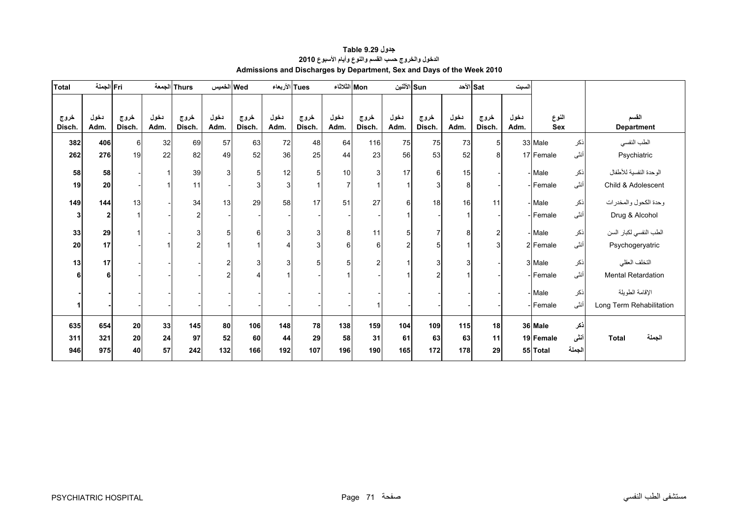<span id="page-3-0"></span>

| <b>Total</b>   | Fri الجملة     |                |              | Thurs الجمعة   | Wed الخميس     |                      | Tues الأربعاء |                | Mon الثلاثاء |                |                  | الأثنين Sun    |              | الأحد ا        | لسبت         |              |        |                            |
|----------------|----------------|----------------|--------------|----------------|----------------|----------------------|---------------|----------------|--------------|----------------|------------------|----------------|--------------|----------------|--------------|--------------|--------|----------------------------|
| خروج<br>Disch. | دخول<br>Adm.   | خروج<br>Disch. | دخول<br>Adm. | خروج<br>Disch. | دخول<br>Adm.   | خروج<br>Disch.       | دخول<br>Adm.  | خروج<br>Disch. | دخول<br>Adm. | خروج<br>Disch. | دخول<br>Adm.     | خروج<br>Disch. | دخول<br>Adm. | خروج<br>Disch. | دخول<br>Adm. | النوع<br>Sex |        | القسم<br><b>Department</b> |
|                |                |                |              |                |                |                      |               |                |              |                |                  |                |              |                |              |              |        |                            |
| 382            | 406            | 6              | 32           | 69             | 57             | 63                   | 72            | 48             | 64           | 116            | 75               | 75             | 73           | 5 <sup>1</sup> |              | 33 Male      | نكر    | الطب النفسي                |
| 262            | 276            | 19             | 22           | 82             | 49             | 52                   | 36            | 25             | 44           | 23             | 56               | 53             | 52           | 8              |              | 17 Female    | أنثى   | Psychiatric                |
| 58             | 58             |                |              | 39             | 3              | 5                    | 12            | 5              | 10           | $\mathbf{3}$   | 17               | 6              | 15           |                |              | - Male       | نكر    | الوحدة النفسية للأطفال     |
| 19             | 20             |                |              | 11             |                | 3                    | 3             |                | 7            | $\overline{1}$ |                  | 3              | 8            |                |              | Female       | أنثى   | Child & Adolescent         |
| 149            | 144            | 13             |              | 34             | 13             | 29                   | 58            | 17             | 51           | 27             | $6 \overline{6}$ | 18             | 16           | 11             |              | - Male       | نكر    | وحدة الكحول والمخدرات      |
| 3              | $\overline{2}$ |                |              | 2              |                |                      |               |                |              |                |                  |                |              |                |              | Female       | أنثى   | Drug & Alcohol             |
| 33             | 29             |                |              | 3 <sup>1</sup> | 5              | 6                    | 3             | 3              | 8            | 11             | 5                | $\overline{7}$ | 8            | $\overline{c}$ |              | - Male       | نكر    | الطب النفسي لكبار السن     |
| 20             | 17             |                |              | 2              |                | $\blacktriangleleft$ | 4             | 3              | 6            | 6              | $\overline{2}$   | 5              |              | 3              |              | 2 Female     | أننى   | Psychogeryatric            |
| 13             | 17             |                |              |                | $\overline{2}$ | 3                    | 3             | 5              | 5            | $\overline{2}$ |                  | 3              | 3            |                |              | 3 Male       | ذكر    | التخلف العقلي              |
| 6              | 6              |                |              |                |                | 4                    |               |                |              |                |                  | $\overline{2}$ |              |                |              | Female       | أنثى   | Mental Retardation         |
|                |                |                |              |                |                |                      |               |                |              |                |                  |                |              |                |              | - Male       | نكر    | الإقامة الطويلة            |
|                |                |                |              |                |                |                      |               |                |              | $\overline{1}$ |                  |                |              |                |              | Female       | أنثى   | Long Term Rehabilitation   |
| 635            | 654            | 20             | 33           | 145            | 80             | 106                  | 148           | 78             | 138          | 159            | 104              | 109            | $115$        | 18             |              | 36 Male      | نكر    |                            |
| 311            | 321            | ${\bf 20}$     | ${\bf 24}$   | 97             | 52             | 60                   | 44            | 29             | 58           | 31             | 61               | 63             | 63           | 11             |              | 19 Female    | أننى   | الجملة<br><b>Total</b>     |
| 946            | 975            | 40             | 57           | 242            | 132            | 166                  | 192           | 107            | 196          | 190            | 165              | 172            | 178          | 29             |              | 55 Total     | الجملة |                            |

## **جدول 9.29 Table الدخول والخروج حسب القسم والنوع وأيام األسبوع<sup>2010</sup> Admissions and Discharges by Department, Sex and Days of the Week 2010**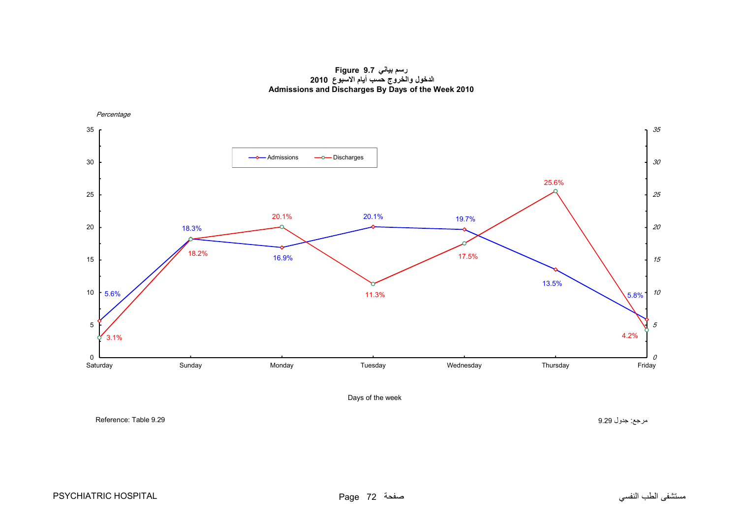**رسم بياني 9.7 Figure الدخول والخروج حسب أيام االسبوع <sup>2010</sup> Admissions and Discharges By Days of the Week 2010**

<span id="page-4-0"></span>

مرجع: جدول 9.29 9.29 Table :Reference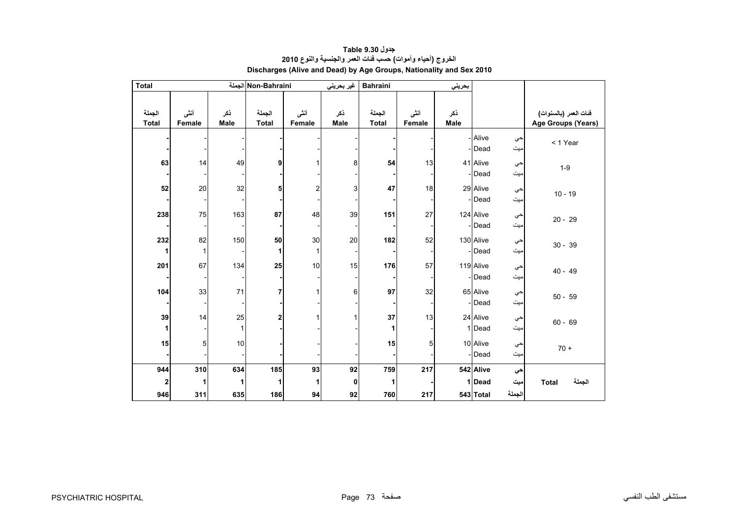<span id="page-5-0"></span>

| <b>Total</b>           |                |                    | Non-Bahraini الجملة    |                | غير بحريني         | <b>Bahraini</b>        |                | بحريني      |                     |               |                                             |
|------------------------|----------------|--------------------|------------------------|----------------|--------------------|------------------------|----------------|-------------|---------------------|---------------|---------------------------------------------|
| الجملة<br><b>Total</b> | أننى<br>Female | ذكر<br>Male        | الجملة<br><b>Total</b> | أنشى<br>Female | نكر<br><b>Male</b> | الجملة<br><b>Total</b> | أنشى<br>Female | ذكر<br>Male |                     |               | فنات العمر (بالسنوات)<br>Age Groups (Years) |
|                        |                |                    |                        |                |                    |                        |                |             | - Alive<br>- Dead   | حي<br>ميت     | < 1 Year                                    |
| 63                     | 14             | 49                 | 9                      |                | 8                  | 54                     | 13             |             | 41 Alive<br>-Dead   | حي<br>میت     | $1-9$                                       |
| 52                     | 20             | 32                 | 5                      | $\overline{2}$ | 3                  | 47                     | 18             |             | 29 Alive<br>-Dead   | حي<br>میت     | $10 - 19$                                   |
| 238                    | 75             | 163                | 87                     | 48             | 39                 | 151                    | 27             |             | 124 Alive<br>-Dead  | حي<br>میت     | $20 - 29$                                   |
| 232<br>$\mathbf{1}$    | 82<br>1        | 150                | 50<br>1                | 30<br>1        | 20                 | 182                    | 52             |             | 130 Alive<br>-Dead  | حي<br>ميت     | $30 - 39$                                   |
| 201                    | 67             | 134                | 25                     | 10             | 15                 | 176                    | 57             |             | 119 Alive<br>- Dead | حي<br>میت     | $40 - 49$                                   |
| 104                    | 33             | 71                 | 7                      |                | 6                  | 97                     | 32             |             | 65 Alive<br>-Dead   | حي<br>میت     | $50 - 59$                                   |
| 39<br>1                | 14             | 25<br>$\mathbf{1}$ | 2                      |                |                    | 37                     | 13             |             | 24 Alive<br>1 Dead  | حي<br>ميت     | $60 - 69$                                   |
| 15                     | 5              | $10$               |                        |                |                    | 15                     | 5              |             | 10 Alive<br>- Dead  | حي<br>ميت     | $70 +$                                      |
| 944                    | 310            | 634                | 185                    | 93             | 92                 | 759                    | 217            |             | 542 Alive           | حي            |                                             |
| 2<br>946               | 1<br>311       | 1<br>635           | 1<br>186               | 1<br>94        | 0<br>92            | 1<br>760               | 217            |             | 1 Dead<br>543 Total | میت<br>الجملة | الجملة<br><b>Total</b>                      |

#### **جدول 9.30 Table الخروج (أحياء وأموات) حسب فئات العمر والجنسية والنوع <sup>2010</sup> Discharges (Alive and Dead) by Age Groups, Nationality and Sex 2010**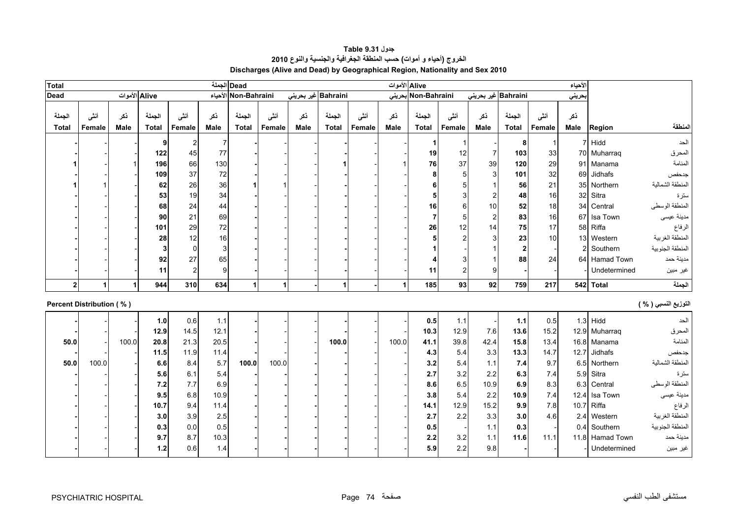<span id="page-6-0"></span>

| <b>Total</b>                    |                |                    |                        |                 |                    | Dead الجملة            |                |                    |                        |                |             | Alive الأموات          |                |                         |                        |                | الأحياء            |                 |                      |
|---------------------------------|----------------|--------------------|------------------------|-----------------|--------------------|------------------------|----------------|--------------------|------------------------|----------------|-------------|------------------------|----------------|-------------------------|------------------------|----------------|--------------------|-----------------|----------------------|
| <b>Dead</b>                     |                | Alive الأموات      |                        |                 |                    | Non-Bahraini الأحياء   |                |                    | Bahraini غیر بحرینی    |                |             | Non-Bahraini بحرينى    |                | Bahraini غیر بحرینی     |                        |                | حريني              |                 |                      |
| الجملة<br><b>Total</b>          | أنشى<br>Female | نكر<br><b>Male</b> | الجملة<br><b>Total</b> | أننسى<br>Female | نكر<br><b>Male</b> | الجملة<br><b>Total</b> | أنثى<br>Female | نكر<br><b>Male</b> | الجملة<br><b>Total</b> | أننى<br>Female | نكر<br>Male | الجملة<br><b>Total</b> | أنشى<br>Female | نكر<br><b>Male</b>      | الجملة<br><b>Total</b> | أننى<br>Female | نكر<br><b>Male</b> | Region          | المنطقة              |
|                                 |                |                    |                        |                 |                    |                        |                |                    |                        |                |             |                        |                |                         |                        |                |                    |                 |                      |
|                                 |                |                    | 9                      |                 | 7                  |                        |                |                    |                        |                |             | 1                      |                |                         | 8                      |                |                    | Hidd            | الحد                 |
|                                 |                |                    | 122                    | 45              | 77                 |                        |                |                    |                        |                |             | 19                     | 12             | $\overline{7}$          | 103                    | 33             |                    | 70 Muharraq     | المحرق               |
|                                 |                |                    | 196                    | 66              | 130                |                        |                |                    |                        |                |             | 76                     | 37             | 39                      | 120                    | 29             |                    | 91 Manama       | المنامة              |
|                                 |                |                    | 109                    | 37              | $72\,$             |                        |                |                    |                        |                |             | 8                      |                | $\mathbf{3}$            | 101                    | 32             | 69                 | Jidhafs         | جدحفص                |
|                                 |                |                    | 62                     | 26              | 36                 |                        |                |                    |                        |                |             |                        |                |                         | 56                     | 21             |                    | 35 Northern     | المنطقة الشمالية     |
|                                 |                |                    | 53                     | 19              | 34                 |                        |                |                    |                        |                |             | 5                      |                | $\overline{\mathbf{c}}$ | 48                     | 16             |                    | 32 Sitra        | سترة                 |
|                                 |                |                    | 68                     | 24              | 44                 |                        |                |                    |                        |                |             | 16                     | 6              | 10                      | 52                     | 18             | 34                 | Central         | المنطقة الوسطى       |
|                                 |                |                    | 90                     | 21              | 69                 |                        |                |                    |                        |                |             | 7                      |                | $\overline{c}$          | 83                     | 16             | 67                 | Isa Town        | مدينة عيسى           |
|                                 |                |                    | 101                    | 29              | 72                 |                        |                |                    |                        |                |             | 26                     | 12             | 14                      | 75                     | 17             |                    | 58 Riffa        | الرفاع               |
|                                 |                |                    | 28                     | 12              | 16                 |                        |                |                    |                        |                |             | 5                      |                | 3                       | 23                     | 10             |                    | 13 Western      | المنطقة الغربية      |
|                                 |                |                    | 3                      | $\Omega$        | 3                  |                        |                |                    |                        |                |             |                        |                |                         | $\overline{2}$         |                |                    | Southern        | المنطقة الجنوبية     |
|                                 |                |                    | 92                     | 27              | 65                 |                        |                |                    |                        |                |             |                        |                |                         | 88                     | 24             |                    | 64 Hamad Town   | مدينة حمد            |
|                                 |                |                    | 11                     | 2               | 9                  |                        |                |                    |                        |                |             | 11                     | $\overline{2}$ | 9                       |                        |                |                    | Undetermined    | غير مبين             |
| $\overline{2}$                  |                | $\mathbf{1}$       | 944                    | 310             | 634                | $\overline{1}$         | 1              |                    | 1                      |                | 1           | 185                    | 93             | 92                      | 759                    | 217            |                    | 542 Total       | الجملة               |
|                                 |                |                    |                        |                 |                    |                        |                |                    |                        |                |             |                        |                |                         |                        |                |                    |                 |                      |
| <b>Percent Distribution (%)</b> |                |                    |                        |                 |                    |                        |                |                    |                        |                |             |                        |                |                         |                        |                |                    |                 | التوزيع النسبي ( % ) |
|                                 |                |                    | 1.0                    | 0.6             | 1.1                |                        |                |                    |                        |                |             | 0.5                    | 1.1            |                         | 1.1                    | 0.5            |                    | $1.3$ Hidd      | الحد                 |
|                                 |                |                    | 12.9                   | 14.5            | 12.1               |                        |                |                    |                        |                |             | 10.3                   | 12.9           | 7.6                     | 13.6                   | 15.2           |                    | 12.9 Muharraq   | المحرق               |
| 50.0                            |                | 100.0              | 20.8                   | 21.3            | 20.5               |                        |                |                    | 100.0                  |                | 100.0       | 41.1                   | 39.8           | 42.4                    | 15.8                   | 13.4           |                    | 16.8 Manama     | المنامة              |
|                                 |                |                    | 11.5                   | 11.9            | 11.4               |                        |                |                    |                        |                |             | 4.3                    | 5.4            | 3.3                     | 13.3                   | 14.7           | 12.7               | Jidhafs         | جدحفص                |
| 50.0                            | 100.0          |                    | 6.6                    | 8.4             | 5.7                | 100.0                  | 100.0          |                    |                        |                |             | 3.2                    | 5.4            | 1.1                     | 7.4                    | 9.7            | 6.5                | Northern        | المنطقة الشمالية     |
|                                 |                |                    | 5.6                    | 6.1             | 5.4                |                        |                |                    |                        |                |             | 2.7                    | 3.2            | 2.2                     | 6.3                    | 7.4            | 5.9                | Sitra           | سترة                 |
|                                 |                |                    | 7.2                    | 7.7             | 6.9                |                        |                |                    |                        |                |             | 8.6                    | 6.5            | 10.9                    | 6.9                    | 8.3            | 6.3                | Central         | المنطقة الوسطى       |
|                                 |                |                    | 9.5                    | 6.8             | 10.9               |                        |                |                    |                        |                |             | 3.8                    | 5.4            | 2.2                     | 10.9                   | 7.4            | 12.4               | Isa Town        | مدينة عيسى           |
|                                 |                |                    | 10.7                   | 9.4             | 11.4               |                        |                |                    |                        |                |             | 14.1                   | 12.9           | 15.2                    | 9.9                    | 7.8            | 10.7               | Riffa           | الرفاع               |
|                                 |                |                    | 3.0                    | 3.9             | 2.5                |                        |                |                    |                        |                |             | 2.7                    | 2.2            | 3.3                     | 3.0                    | 4.6            | 2.4                | Western         | المنطقة الغربية      |
|                                 |                |                    | 0.3                    | 0.0             | 0.5                |                        |                |                    |                        |                |             | 0.5                    |                | $1.1$                   | 0.3                    |                |                    | 0.4 Southern    | المنطقة الجنوبية     |
|                                 |                |                    | 9.7                    | 8.7             | 10.3               |                        |                |                    |                        |                |             | 2.2                    | 3.2            | 1.1                     | 11.6                   | 11.1           |                    | 11.8 Hamad Town | مدينة حمد            |
|                                 |                |                    | $1.2$                  | 0.6             | 1.4                |                        |                |                    |                        |                |             | 5.9                    | 2.2            | 9.8                     |                        |                |                    | Undetermined    | غير مبين             |
|                                 |                |                    |                        |                 |                    |                        |                |                    |                        |                |             |                        |                |                         |                        |                |                    |                 |                      |

**جدول 9.31 Table الخروج (أحياء <sup>و</sup> أموات) حسب المنطقة الجغرافية والجنسية والنوع <sup>2010</sup> Discharges (Alive and Dead) by Geographical Region, Nationality and Sex 2010**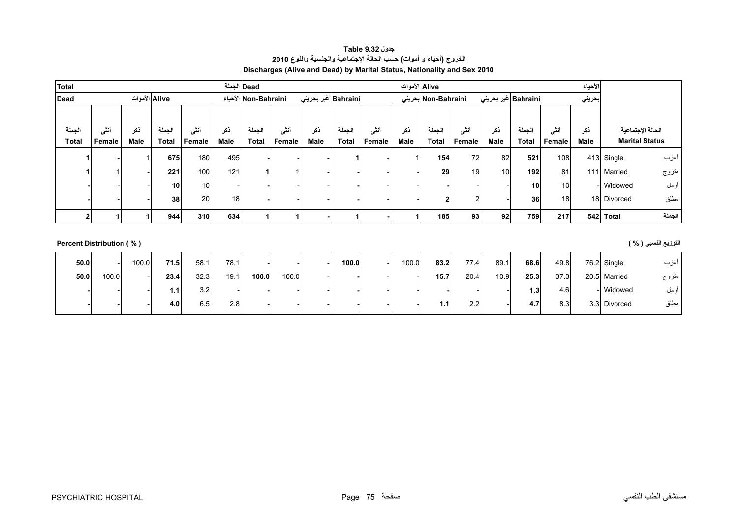## **جدول 9.32 Table الخروج (أحياء <sup>و</sup> أموات) حسب الحالة اإلجتماعية والجنسية والنوع <sup>2010</sup> Discharges (Alive and Dead) by Marital Status, Nationality and Sex 2010**

<span id="page-7-0"></span>

| <b>Total</b>             |        |             |               |        |      | Dead الجملة          |        |                     |              |        | Alive الأموات |                     |        |      |                     |        | الأحياء |             |                       |
|--------------------------|--------|-------------|---------------|--------|------|----------------------|--------|---------------------|--------------|--------|---------------|---------------------|--------|------|---------------------|--------|---------|-------------|-----------------------|
| <b>Dead</b>              |        |             | Alive الأموات |        |      | Non-Bahraini الأحياء |        | Bahraini غير بحريني |              |        |               | Non-Bahraini بحرينى |        |      | Bahraini غير بحريني |        | بحريني  |             |                       |
|                          |        |             |               |        |      |                      |        |                     |              |        |               |                     |        |      |                     |        |         |             |                       |
| الجملة                   | أننس   | ذكر         | الجملة        | أنشى   | ذكر  | الجملة               | أنشى   | ذكر                 | الجملة       | أننى   | ذكر           | الجملة              | أنشى   | ذكر  | الجملة              | أنشى   | ذكر     |             | الحالة الإجتماعية     |
| <b>Total</b>             | Female | <b>Male</b> | Total         | Female | Male | <b>Total</b>         | Female | <b>Male</b>         | <b>Total</b> | Female | <b>Male</b>   | <b>Total</b>        | Female | Male | <b>Total</b>        | Female | Male    |             | <b>Marital Status</b> |
|                          |        |             | 675           | 180    | 495  |                      |        |                     |              |        |               | 154                 | 72     | 82   | 521                 | 108    |         | 413 Single  | أعزب                  |
|                          |        |             | 221           | 100    | 121  |                      |        |                     |              |        |               | 29                  | 19     | 10   | 192                 | 81     |         | 111 Married | متزوج                 |
|                          |        |             | 10            | 10     |      |                      |        |                     |              |        |               |                     |        |      | 10                  | 10     |         | - Widowed   | أرمل                  |
|                          |        |             | 38            | 20     | 18   |                      |        |                     |              |        |               | $\mathbf{2}$        |        |      | 36                  | 18     |         | 18 Divorced | مطلق                  |
|                          |        |             | 944           | 310    | 634  |                      |        |                     |              |        |               | 185                 | 93     | 92   | 759                 | 217    |         | 542 Total   | الجملة                |
|                          |        |             |               |        |      |                      |        |                     |              |        |               |                     |        |      |                     |        |         |             |                       |
| Percent Distribution (%) |        |             |               |        |      |                      |        |                     |              |        |               |                     |        |      |                     |        |         |             | التوزيع النسبي ( % )  |
|                          |        |             |               |        |      |                      |        |                     |              |        |               |                     |        |      |                     |        |         |             |                       |

| 50.0 |       | 100.0 | 71.5           | 58.1 | 78.1 |       |       | 100.0 | 100.0 | 83.2 | 77.4 | 89.1 | 68.6             | 49.8 | 76.2 Single  | اعزب  |
|------|-------|-------|----------------|------|------|-------|-------|-------|-------|------|------|------|------------------|------|--------------|-------|
| 50.0 | 100.0 |       | 23.4           | 32.3 | 19.1 | 100.0 | 100.0 |       |       | 15.7 | 20.4 | 10.9 | 25.3             | 37.3 | 20.5 Married | متزوج |
|      |       |       | $\mathbf{1}$ . | 3.2  |      |       |       |       |       |      |      |      | 1.3 <sub>1</sub> | 4.6  | Widowed      | ازمل  |
|      |       |       | 4.0            | 6.5  | 2.8  |       |       |       |       | 1.1  | 2.2  |      | 4.7              | 8.3  | 3.3 Divorced | مطلق  |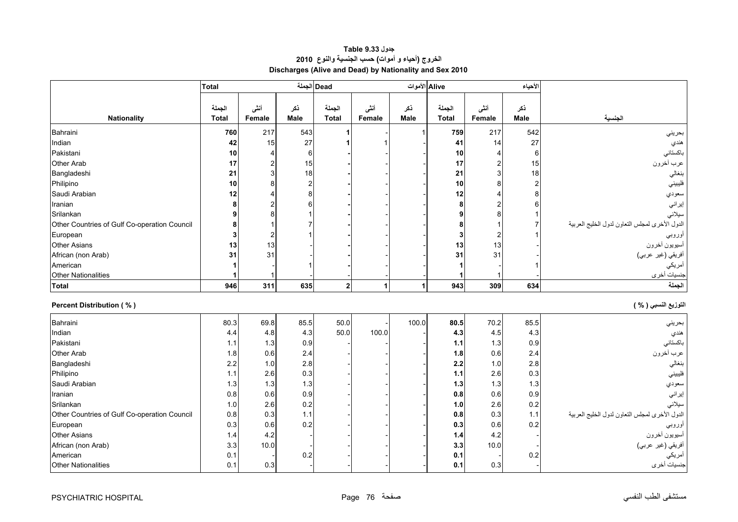## **جدول 9.33 Table الخروج (أحياء <sup>و</sup> أموات) حسب الجنسية والنوع <sup>2010</sup> Discharges (Alive and Dead) by Nationality and Sex 2010**

<span id="page-8-0"></span>

|                                              | <b>Total</b> |                |             | Dead الجملة    |        | Alive الأموات |              |                | الأحياء        |                                                |
|----------------------------------------------|--------------|----------------|-------------|----------------|--------|---------------|--------------|----------------|----------------|------------------------------------------------|
|                                              |              |                |             |                |        |               |              |                |                |                                                |
|                                              | الجملة       | أننى           | نكر         | الجملة         | أننى   | نكر           | الجملة       | أننى           | ذكر            |                                                |
| <b>Nationality</b>                           | <b>Total</b> | Female         | <b>Male</b> | <b>Total</b>   | Female | <b>Male</b>   | <b>Total</b> | Female         | <b>Male</b>    | الجنسية                                        |
| Bahraini                                     | 760          | 217            | 543         |                |        |               | 759          | 217            | 542            | بحريني                                         |
| Indian                                       | 42           | 15             | 27          |                |        |               | 41           | 14             | 27             | هندي                                           |
| Pakistani                                    | 10           | 4              | 6           |                |        |               | 10           | $\overline{4}$ | 6              | باكستاني                                       |
| Other Arab                                   | 17           | $\overline{c}$ | 15          |                |        |               | 17           | $\overline{2}$ | 15             | عرب أخرون                                      |
| Bangladeshi                                  | 21           | 3              | 18          |                |        |               | 21           | 3              | 18             | بنغالي                                         |
| Philipino                                    | 10           | 8              | 2           |                |        |               | 10           | 8              | $\overline{c}$ | فليبيني                                        |
| Saudi Arabian                                | 12           |                |             |                |        |               | 12           |                | 8              | سعودي                                          |
| Iranian                                      | 8            |                |             |                |        |               | 8            |                | 6              | إيراني                                         |
| Srilankan                                    | 9            |                |             |                |        |               |              |                |                | سيلاني                                         |
| Other Countries of Gulf Co-operation Council | 8            |                |             |                |        |               |              |                |                | الدول الأخرى لمجلس النعاون لدول الخليج العربية |
| European                                     | 3            | $\overline{2}$ |             |                |        |               | 3            | $\overline{2}$ |                | أوروبي                                         |
| <b>Other Asians</b>                          | 13           | 13             |             |                |        |               | 13           | 13             |                | أسيويون أخرون                                  |
| African (non Arab)                           | 31           | 31             |             |                |        |               | 31           | 31             |                | أفريقي (غير عربي)                              |
| American                                     |              |                |             |                |        |               |              |                |                | أمريكي                                         |
| <b>Other Nationalities</b>                   | 1            |                |             |                |        |               |              | -1             |                | جنسيات أخرى                                    |
| <b>Total</b>                                 | 946          | 311            | 635         | 2 <sup>1</sup> |        | 1             | 943          | 309            | 634            | الجملة                                         |
| <b>Percent Distribution (%)</b>              |              |                |             |                |        |               |              |                |                | التوزيع النسبي ( % )                           |
| Bahraini                                     | 80.3         | 69.8           | 85.5        | 50.0           |        | 100.0         | 80.5         | 70.2           | 85.5           | بحريني                                         |
| Indian                                       | 4.4          | 4.8            | 4.3         | 50.0           | 100.0  |               | 4.3          | 4.5            | 4.3            | هندي                                           |
| Pakistani                                    | 1.1          | 1.3            | 0.9         |                |        |               | 1.1          | 1.3            | 0.9            | باكستاني                                       |
| Other Arab                                   | 1.8          | 0.6            | 2.4         |                |        |               | 1.8          | 0.6            | 2.4            | عرب أخرون                                      |
| Bangladeshi                                  | 2.2          | 1.0            | 2.8         |                |        |               | 2.2          | 1.0            | 2.8            | بنغالي                                         |
| Philipino                                    | $1.1$        | 2.6            | 0.3         |                |        |               | $1.1$        | 2.6            | 0.3            | فليبيني                                        |
| Saudi Arabian                                | 1.3          | 1.3            | 1.3         |                |        |               | 1.3          | 1.3            | 1.3            | سعودي                                          |
| Iranian                                      | 0.8          | 0.6            | 0.9         |                |        |               | 0.8          | 0.6            | 0.9            | إيراني                                         |
| Srilankan                                    | 1.0          | 2.6            | 0.2         |                |        |               | 1.0          | 2.6            | 0.2            | سيلانى                                         |
| Other Countries of Gulf Co-operation Council | 0.8          | 0.3            | 1.1         |                |        |               | 0.8          | 0.3            | $1.1$          | الدول الأخرى لمجلس النعاون لدول الخليج العربية |
| European                                     | 0.3          | 0.6            | 0.2         |                |        |               | 0.3          | 0.6            | 0.2            | أوروبي                                         |
| <b>Other Asians</b>                          | 1.4          | 4.2            |             |                |        |               | 1.4          | 4.2            |                | أسيويون أخرون                                  |
| African (non Arab)                           | 3.3          | 10.0           |             |                |        |               | 3.3          | 10.0           |                | أفريقي (غير عربي)                              |
| American                                     | 0.1          |                | 0.2         |                |        |               | 0.1          |                | 0.2            | أمريكي                                         |
| <b>Other Nationalities</b>                   | 0.1          | 0.3            |             |                |        |               | 0.1          | 0.3            |                | جنسيات أخرى                                    |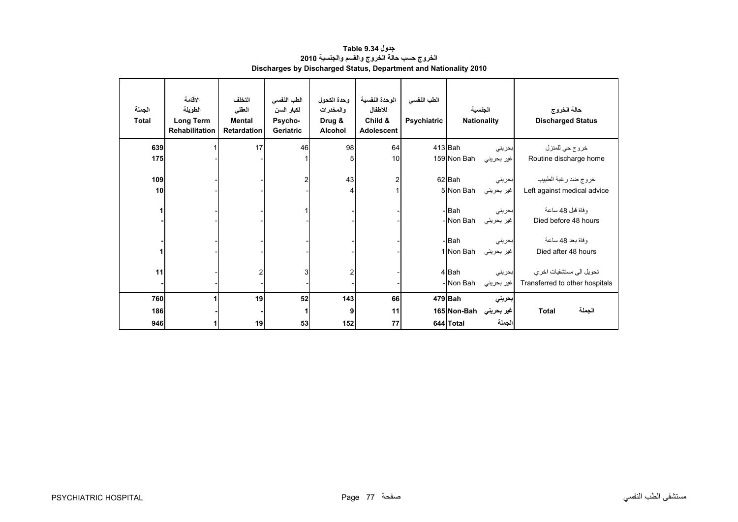<span id="page-9-0"></span>

| الجملة<br><b>Total</b> | الاقامة<br>الطويلة<br><b>Long Term</b><br><b>Rehabilitation</b> | التخلف<br>العقلى<br><b>Mental</b><br><b>Retardation</b> | الطب النفسي<br>لكبار السن<br>Psycho-<br>Geriatric | وحدة الكحول<br>والمخدرات<br>Drug &<br><b>Alcohol</b> | الوحدة النفسية<br>للأطفال<br>Child &<br><b>Adolescent</b> | الطب النفسي<br>Psychiatric |                    | الجنسية<br><b>Nationality</b> | حالة الخروج<br><b>Discharged Status</b>  |
|------------------------|-----------------------------------------------------------------|---------------------------------------------------------|---------------------------------------------------|------------------------------------------------------|-----------------------------------------------------------|----------------------------|--------------------|-------------------------------|------------------------------------------|
| 639                    |                                                                 | 17                                                      | 46                                                | 98                                                   | 64                                                        |                            | $413$ Bah          | بحريني                        | خروج حي للمنزل                           |
| 175                    |                                                                 |                                                         |                                                   | 5                                                    | 10                                                        |                            | 159 Non Bah        | غير بحريني                    | Routine discharge home                   |
| 109                    |                                                                 |                                                         | 2                                                 | 43                                                   | 2                                                         |                            | 62 Bah             | بحريني                        | خروج ضد رغبة الطبيب                      |
| 10                     |                                                                 |                                                         |                                                   |                                                      |                                                           |                            | 5 Non Bah          | غير بحريني                    | Left against medical advice              |
|                        |                                                                 |                                                         |                                                   |                                                      |                                                           |                            | - Bah<br>- Non Bah | بحريني<br>غير بحريني          | وفاة قبل 48 ساعة<br>Died before 48 hours |
|                        |                                                                 |                                                         |                                                   |                                                      |                                                           |                            | - Bah              | بحريني                        | وفاة بعد 48 ساعة                         |
|                        |                                                                 |                                                         |                                                   |                                                      |                                                           |                            | 1 Non Bah          | غير بحريني                    | Died after 48 hours                      |
| 11                     |                                                                 | $\overline{2}$                                          | $\mathbf{3}$                                      |                                                      |                                                           |                            | 4 Bah              | بحريني                        | تحويل الى مستشفيات اخر ي                 |
|                        |                                                                 |                                                         |                                                   |                                                      |                                                           |                            | - Non Bah          | غير بحريني                    | Transferred to other hospitals           |
| 760                    |                                                                 | 19                                                      | 52                                                | 143                                                  | 66                                                        |                            | 479 Bah            | بحريني                        |                                          |
| 186                    |                                                                 |                                                         |                                                   |                                                      | 11                                                        |                            | 165 Non-Bah        | غیر بحرین <i>ی</i>            | الجملة<br><b>Total</b>                   |
| 946                    | 1                                                               | 19                                                      | 53                                                | 152                                                  | 77                                                        |                            | 644 Total          | الجملة                        |                                          |

## **جدول 9.34 Table الخروج حسب حالة الخروج والقسم والجنسية <sup>2010</sup> Discharges by Discharged Status, Department and Nationality 2010**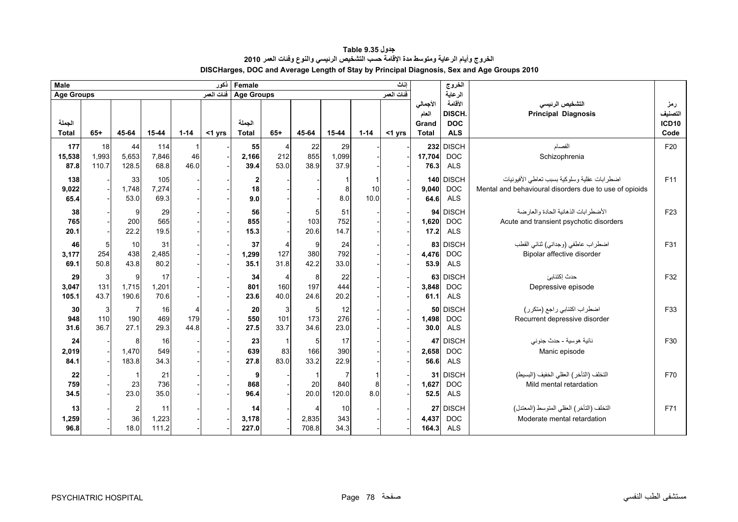<span id="page-10-0"></span>

| <b>Male</b>            |                      |                               |                      |                  | نكور       | Female                    |                  |                     |                     |                 | اناث       |                                            | الخروج                                        |                                                                                                        |                                        |
|------------------------|----------------------|-------------------------------|----------------------|------------------|------------|---------------------------|------------------|---------------------|---------------------|-----------------|------------|--------------------------------------------|-----------------------------------------------|--------------------------------------------------------------------------------------------------------|----------------------------------------|
| <b>Age Groups</b>      |                      |                               |                      |                  | فنات العمر | <b>Age Groups</b>         |                  |                     |                     |                 | فنات العمر |                                            | الرعاية                                       |                                                                                                        |                                        |
| الجملة<br><b>Total</b> | $65+$                | 45-64                         | 15-44                | $1 - 14$         | $<$ 1 yrs  | الجملة<br><b>Total</b>    | $65+$            | 45-64               | 15-44               | $1 - 14$        | $<$ 1 yrs  | الأجمالي<br>العام<br>Grand<br><b>Total</b> | الأقامة<br>DISCH.<br><b>DOC</b><br><b>ALS</b> | التشخيص الرئيسى<br><b>Principal Diagnosis</b>                                                          | رمز<br>التصنيف<br><b>ICD10</b><br>Code |
| 177<br>15,538<br>87.8  | 18<br>1,993<br>110.7 | 44<br>5,653<br>128.5          | 114<br>7,846<br>68.8 | -1<br>46<br>46.0 |            | 55<br>2,166<br>39.4       | 4<br>212<br>53.0 | 22<br>855<br>38.9   | 29<br>1,099<br>37.9 |                 |            | 17,704<br>76.3                             | 232 DISCH<br><b>DOC</b><br><b>ALS</b>         | الفصام<br>Schizophrenia                                                                                | F20                                    |
| 138<br>9,022<br>65.4   |                      | 33<br>1,748<br>53.0           | 105<br>7.274<br>69.3 |                  |            | $\mathbf{z}$<br>18<br>9.0 |                  |                     | 8<br>8.0            | 1<br>10<br>10.0 |            | 9.040<br>64.6                              | 140 DISCH<br><b>DOC</b><br><b>ALS</b>         | اضطرابات عقلية وسلوكية بسبب تعاطى الأفيونيات<br>Mental and behavioural disorders due to use of opioids | F11                                    |
| 38<br>765<br>20.1      |                      | g<br>200<br>22.2              | 29<br>565<br>19.5    |                  |            | 56<br>855<br>15.3         |                  | 5<br>103<br>20.6    | 51<br>752<br>14.7   |                 |            | 94<br>1,620<br>17.2                        | <b>DISCH</b><br><b>DOC</b><br><b>ALS</b>      | الأضطر ابات الذهانبة الحادة والعار ضبة<br>Acute and transient psychotic disorders                      | F <sub>23</sub>                        |
| 46<br>3,177<br>69.1    | 5<br>254<br>50.8     | 10<br>438<br>43.8             | 31<br>2,485<br>80.2  |                  |            | 37<br>1,299<br>35.1       | 4<br>127<br>31.8 | 9<br>380<br>42.2    | 24<br>792<br>33.0   |                 |            | 4,476<br>53.9                              | 83 DISCH<br><b>DOC</b><br><b>ALS</b>          | اضطراب عاطفي (وجداني) ثنائي القطب<br>Bipolar affective disorder                                        | F31                                    |
| 29<br>3,047<br>105.1   | 3<br>131<br>43.7     | 9<br>1,715<br>190.6           | 17<br>1,201<br>70.6  |                  |            | 34<br>801<br>23.6         | 4<br>160<br>40.0 | 8<br>197<br>24.6    | 22<br>444<br>20.2   |                 |            | 3,848<br>61.1                              | 63 DISCH<br><b>DOC</b><br><b>ALS</b>          | حدث إكتئابئ<br>Depressive episode                                                                      | F32                                    |
| 30<br>948<br>31.6      | 3<br>110<br>36.7     | $\overline{7}$<br>190<br>27.1 | 16<br>469<br>29.3    | 179<br>44.8      |            | 20<br>550<br>27.5         | 3<br>101<br>33.7 | 5<br>173<br>34.6    | 12<br>276<br>23.0   |                 |            | 1,498<br>30.0                              | 50 DISCH<br><b>DOC</b><br><b>ALS</b>          | اضطراب اكتئابي راجع (متكرر)<br>Recurrent depressive disorder                                           | F33                                    |
| 24<br>2,019<br>84.1    |                      | 8<br>1,470<br>183.8           | 16<br>549<br>34.3    |                  |            | 23<br>639<br>27.8         | 83<br>83.0       | 5<br>166<br>33.2    | 17<br>390<br>22.9   |                 |            | 2,658<br>56.6                              | 47 DISCH<br><b>DOC</b><br><b>ALS</b>          | نائية هوسية - حدث جنوني<br>Manic episode                                                               | F30                                    |
| 22<br>759<br>34.5      |                      | 23<br>23.0                    | 21<br>736<br>35.0    |                  |            | 9<br>868<br>96.4          |                  | 20<br>20.0          | 7<br>840<br>120.0   | 1<br>8<br>8.0   |            | 1,627<br>52.5                              | 31 DISCH<br><b>DOC</b><br><b>ALS</b>          | التخلف (التأخر ) العقلي الخفيف (البسيط)<br>Mild mental retardation                                     | F70                                    |
| 13<br>1,259<br>96.8    |                      | $\overline{2}$<br>36<br>18.0  | 11<br>1,223<br>111.2 |                  |            | 14<br>3,178<br>227.0      |                  | 4<br>2,835<br>708.8 | 10<br>343<br>34.3   |                 |            | 4,437                                      | 27 DISCH<br><b>DOC</b><br>$164.3$ ALS         | التخلف (التأخر ) العقلي المتوسط (المعتدل)<br>Moderate mental retardation                               | F71                                    |

## **جدول 9.35 Table الخروج وأيام الرعاية ومتوسط مدة اإلقامة حسب التشخيص الرئيسي والنوع وفئات العمر <sup>2010</sup> DISCHarges, DOC and Average Length of Stay by Principal Diagnosis, Sex and Age Groups 2010**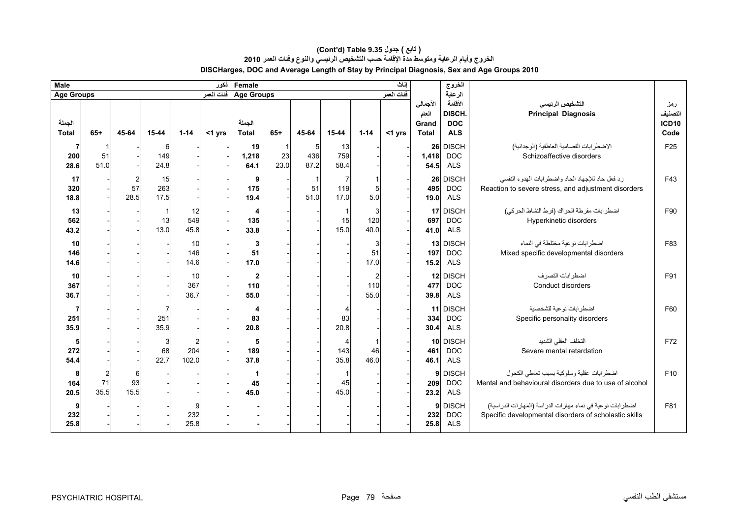#### **DISCHarges, DOC and Average Length of Stay by Principal Diagnosis, Sex and Age Groups 2010 (Cont'd) Table 9.35 جدول ) تابع( الخروج وأيام الرعاية ومتوسط مدة اإلقامة حسب التشخيص الرئيسي والنوع وفئات العمر <sup>2010</sup>**

| <b>Male</b>            |                                |                              |                            |                                | نكور      | Female                      |            |                  |                   |                        | اناث       |                                            | الغروج                                              |                                                                                                                     |                                        |
|------------------------|--------------------------------|------------------------------|----------------------------|--------------------------------|-----------|-----------------------------|------------|------------------|-------------------|------------------------|------------|--------------------------------------------|-----------------------------------------------------|---------------------------------------------------------------------------------------------------------------------|----------------------------------------|
| <b>Age Groups</b>      |                                |                              |                            |                                |           | Age Groups فَنات العمر      |            |                  |                   |                        | فنات العمر |                                            | الرعاية                                             |                                                                                                                     |                                        |
| الجملة<br><b>Total</b> | $65+$                          | 45-64                        | 15-44                      | $1 - 14$                       | $<$ 1 yrs | الجملة<br><b>Total</b>      | $65+$      | 45-64            | 15-44             | $1 - 14$               | $<$ 1 yrs  | الأجمالي<br>العام<br>Grand<br><b>Total</b> | الأقامة<br><b>DISCH</b><br><b>DOC</b><br><b>ALS</b> | التشخيص الرئيسى<br><b>Principal Diagnosis</b>                                                                       | رمز<br>التصنيف<br><b>ICD10</b><br>Code |
| 7<br>200<br>28.6       | 51<br>51.0                     |                              | 6<br>149<br>24.8           |                                |           | 19<br>1,218<br>64.1         | 23<br>23.0 | 5<br>436<br>87.2 | 13<br>759<br>58.4 |                        |            | 1,418<br>54.5                              | 26 DISCH<br><b>DOC</b><br><b>ALS</b>                | الاضطرابات الفصامية العاطفية (الوجدانية)<br>Schizoaffective disorders                                               | F <sub>25</sub>                        |
| 17<br>320<br>18.8      |                                | $\overline{c}$<br>57<br>28.5 | 15<br>263<br>17.5          |                                |           | 9<br>175<br>19.4            |            | 51<br>51.0       | 7<br>119<br>17.0  | 1<br>$\sqrt{5}$<br>5.0 |            | 26<br>495<br>19.0                          | <b>DISCH</b><br><b>DOC</b><br><b>ALS</b>            | رد فعل حاد للإجهاد الحاد واضطرابات الهدوء النفسي<br>Reaction to severe stress, and adjustment disorders             | F43                                    |
| 13<br>562<br>43.2      |                                |                              | 13<br>13.0                 | 12<br>549<br>45.8              |           | 4<br>135<br>33.8            |            |                  | 15<br>15.0        | 3<br>120<br>40.0       |            | 697<br>41.0                                | 17 DISCH<br><b>DOC</b><br><b>ALS</b>                | اضطر ابات مفرطة الحراك (فرط النشاط الحركي)<br>Hyperkinetic disorders                                                | F90                                    |
| 10<br>146<br>14.6      |                                |                              |                            | 10<br>146<br>14.6              |           | 3<br>51<br>17.0             |            |                  |                   | 3<br>51<br>17.0        |            | 197<br>15.2                                | 13 DISCH<br><b>DOC</b><br><b>ALS</b>                | اضطرابات نوعية مختلطة في النماء<br>Mixed specific developmental disorders                                           | F83                                    |
| 10<br>367<br>36.7      |                                |                              |                            | 10<br>367<br>36.7              |           | $\mathbf{2}$<br>110<br>55.0 |            |                  |                   | 2<br>110<br>55.0       |            | 477<br>39.8                                | 12 DISCH<br><b>DOC</b><br><b>ALS</b>                | اضطر ابات التصر ف<br>Conduct disorders                                                                              | F91                                    |
| 7<br>251<br>35.9       |                                |                              | 251<br>35.9                |                                |           | 4<br>83<br>20.8             |            |                  | 83<br>20.8        |                        |            | 334<br>30.4                                | 11 DISCH<br><b>DOC</b><br><b>ALS</b>                | اضطرابات نوعية للشخصية<br>Specific personality disorders                                                            | F60                                    |
| 5<br>272<br>54.4       |                                |                              | $\mathbf{3}$<br>68<br>22.7 | $\overline{c}$<br>204<br>102.0 |           | 5<br>189<br>37.8            |            |                  | 4<br>143<br>35.8  | 1<br>46<br>46.0        |            | 461<br>46.1                                | 10 DISCH<br><b>DOC</b><br><b>ALS</b>                | التخلف العقلى الشديد<br>Severe mental retardation                                                                   | F72                                    |
| 8<br>164<br>20.5       | $\boldsymbol{2}$<br>71<br>35.5 | 6<br>93<br>15.5              |                            |                                |           | 1<br>45<br>45.0             |            |                  | 45<br>45.0        |                        |            | 9<br>209<br>23.2                           | <b>DISCH</b><br><b>DOC</b><br><b>ALS</b>            | اضطرابات عقلية وسلوكية بسبب نعاطى الكحول<br>Mental and behavioural disorders due to use of alcohol                  | F <sub>10</sub>                        |
| 9<br>232<br>25.8       |                                |                              |                            | 232<br>25.8                    |           |                             |            |                  |                   |                        |            | 9<br>232<br>25.8                           | <b>DISCH</b><br><b>DOC</b><br><b>ALS</b>            | اضطر ابات نوعية في نماء مهارات الدراسة (المهارات الدراسية)<br>Specific developmental disorders of scholastic skills | F81                                    |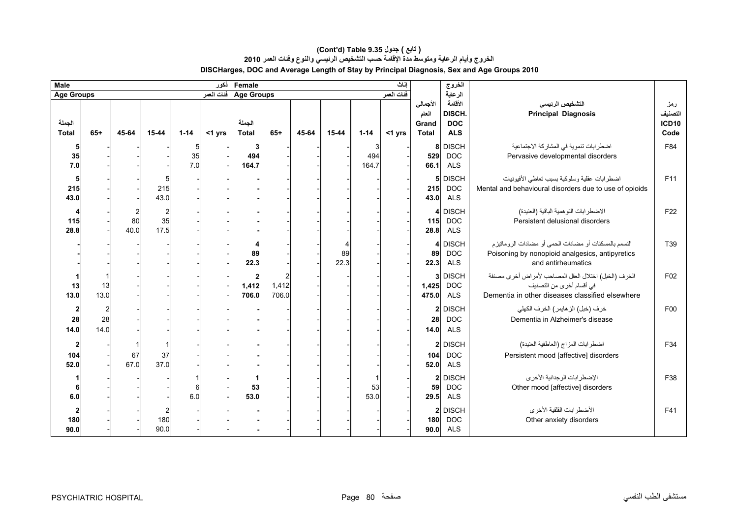#### **(Cont'd) Table 9.35 جدول ) تابع( الخروج وأيام الرعاية ومتوسط مدة اإلقامة حسب التشخيص الرئيسي والنوع وفئات العمر <sup>2010</sup> DISCHarges, DOC and Average Length of Stay by Principal Diagnosis, Sex and Age Groups 2010**

| <b>Male</b><br>Female<br>نكور<br>إناث  |                              |                                           |                                       |                |        |                                    |                |       |            |                   |           | الغروج                                     |                                               |                                                                                                                                     |                                 |
|----------------------------------------|------------------------------|-------------------------------------------|---------------------------------------|----------------|--------|------------------------------------|----------------|-------|------------|-------------------|-----------|--------------------------------------------|-----------------------------------------------|-------------------------------------------------------------------------------------------------------------------------------------|---------------------------------|
| <b>Age Groups</b>                      |                              | فئات العمر<br>Age Groups فَنَاتَ الْعَمَر |                                       |                |        |                                    |                |       | الرعاية    |                   |           |                                            |                                               |                                                                                                                                     |                                 |
| الجملة<br><b>Total</b>                 | $65+$                        | 45-64                                     | 15-44                                 | $1 - 14$       | <1 yrs | الجملة<br><b>Total</b>             | $65+$          | 45-64 | 15-44      | $1 - 14$          | $<$ 1 yrs | الأجمالي<br>العام<br>Grand<br><b>Total</b> | الأقامة<br>DISCH.<br><b>DOC</b><br><b>ALS</b> | التشخيص الرئيسى<br><b>Principal Diagnosis</b>                                                                                       | رمز<br>التصنيف<br>ICD10<br>Code |
| $5\phantom{.0}$<br>35<br>7.0           |                              |                                           |                                       | 5<br>35<br>7.0 |        | 3<br>494<br>164.7                  |                |       |            | 3<br>494<br>164.7 |           | 8<br>529<br>66.1                           | <b>DISCH</b><br><b>DOC</b><br><b>ALS</b>      | اضطرابات تنموية في المشاركة الاجتماعية<br>Pervasive developmental disorders                                                         | F84                             |
| $\overline{\mathbf{5}}$<br>215<br>43.0 |                              |                                           | 5<br>215<br>43.0                      |                |        |                                    |                |       |            |                   |           | 5 <sub>l</sub><br>215<br>43.0              | <b>DISCH</b><br><b>DOC</b><br><b>ALS</b>      | اضطرابات عقلية وسلوكية بسبب تعاطى الأفيونيات<br>Mental and behavioural disorders due to use of opioids                              | F11                             |
| 115<br>28.8                            |                              | $\overline{c}$<br>80<br>40.0              | $\overline{\mathbf{c}}$<br>35<br>17.5 |                |        |                                    |                |       |            |                   |           | $\overline{4}$<br>115<br>28.8              | <b>DISCH</b><br><b>DOC</b><br><b>ALS</b>      | الاضطر ابات التو همية الباقية (العنيدة)<br>Persistent delusional disorders                                                          | F22                             |
|                                        |                              |                                           |                                       |                |        | 89<br>22.3                         |                |       | 89<br>22.3 |                   |           | 4<br>89<br>22.3                            | <b>DISCH</b><br><b>DOC</b><br><b>ALS</b>      | التسمم بالمسكنات أو مضادات الحمى أو مضادات الروماتيزم<br>Poisoning by nonopioid analgesics, antipyretics<br>and antirheumatics      | T39                             |
| 13<br>13.0                             | 13<br>13.0                   |                                           |                                       |                |        | $\boldsymbol{2}$<br>1,412<br>706.0 | 1,412<br>706.0 |       |            |                   |           | 3<br>1,425<br>475.0                        | <b>DISCH</b><br><b>DOC</b><br><b>ALS</b>      | الخرف (الخبل) اختلال العقل المصاحب لأمراض أخرى مصنفة<br>في أقسام أخرى من التصنيف<br>Dementia in other diseases classified elsewhere | F <sub>02</sub>                 |
| $\mathbf{2}$<br>28<br>14.0             | $\overline{2}$<br>28<br>14.0 |                                           |                                       |                |        |                                    |                |       |            |                   |           | $\mathbf{2}$<br>28<br>14.0                 | <b>DISCH</b><br><b>DOC</b><br><b>ALS</b>      | خرف (خبل) الز هايمر ) الخرف الكهلي<br>Dementia in Alzheimer's disease                                                               | F <sub>00</sub>                 |
| $\boldsymbol{2}$<br>104<br>52.0        |                              | 67<br>67.0                                | 37<br>37.0                            |                |        |                                    |                |       |            |                   |           | $\boldsymbol{2}$<br>104<br>52.0            | <b>DISCH</b><br><b>DOC</b><br><b>ALS</b>      | اضطرابات المزاج (العاطفية العنيدة)<br>Persistent mood [affective] disorders                                                         | F34                             |
| 6<br>$6.0\,$                           |                              |                                           |                                       | 6<br>6.0       |        | 1<br>53<br>53.0                    |                |       |            | 53<br>53.0        |           | $\mathbf{2}$<br>59<br>29.5                 | <b>DISCH</b><br><b>DOC</b><br><b>ALS</b>      | الإضطرابات الوجدانية الأخرى<br>Other mood [affective] disorders                                                                     | F38                             |
| $\boldsymbol{2}$<br>180<br>90.0        |                              |                                           | 2<br>180<br>90.0                      |                |        |                                    |                |       |            |                   |           | $\mathbf{2}$<br>180<br>90.0                | <b>DISCH</b><br><b>DOC</b><br><b>ALS</b>      | الأضطر ابات القلقية الأخرى<br>Other anxiety disorders                                                                               | F41                             |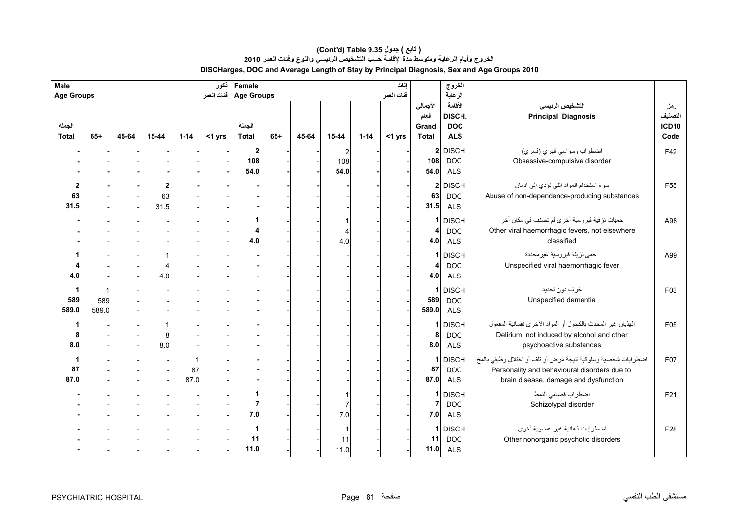#### **(Cont'd) Table 9.35 جدول ) تابع( الخروج وأيام الرعاية ومتوسط مدة اإلقامة حسب التشخيص الرئيسي والنوع وفئات العمر <sup>2010</sup> DISCHarges, DOC and Average Length of Stay by Principal Diagnosis, Sex and Age Groups 2010**

| Female<br><b>Male</b><br>نكور |              |       |                 |            |        |                                              |       |       |                       |          | اناث   |                                            | الخروج                                        |                                                                                                                                                        |                                        |  |
|-------------------------------|--------------|-------|-----------------|------------|--------|----------------------------------------------|-------|-------|-----------------------|----------|--------|--------------------------------------------|-----------------------------------------------|--------------------------------------------------------------------------------------------------------------------------------------------------------|----------------------------------------|--|
| <b>Age Groups</b>             |              |       |                 |            |        | ففات المعمر<br>Age Groups   فَنَاتَ الْعَمَر |       |       |                       |          |        |                                            | الرعاية                                       |                                                                                                                                                        |                                        |  |
| الجملة<br><b>Total</b>        | $65+$        | 45-64 | 15-44           | $1 - 14$   | <1 yrs | الجملة<br><b>Total</b>                       | $65+$ | 45-64 | 15-44                 | $1 - 14$ | <1 yrs | الأجمالي<br>العام<br>Grand<br><b>Total</b> | الأقامة<br>DISCH.<br><b>DOC</b><br><b>ALS</b> | التشخيص الرئيسي<br><b>Principal Diagnosis</b>                                                                                                          | رمز<br>التصنيف<br><b>ICD10</b><br>Code |  |
|                               |              |       |                 |            |        | $\mathbf{2}$<br>108<br>54.0                  |       |       | 2<br>108<br>54.0      |          |        | 2 <sub>1</sub><br>108<br>54.0              | <b>DISCH</b><br><b>DOC</b><br><b>ALS</b>      | اضطراب وسواسي فهري (فسري)<br>Obsessive-compulsive disorder                                                                                             |                                        |  |
| $\mathbf{2}$<br>63<br>31.5    |              |       | 2<br>63<br>31.5 |            |        |                                              |       |       |                       |          |        | 2 <sub>1</sub><br>63<br>31.5               | <b>DISCH</b><br><b>DOC</b><br><b>ALS</b>      | سوء استخدام المواد التي تؤدي إلى ادمان<br>Abuse of non-dependence-producing substances                                                                 | F <sub>55</sub>                        |  |
|                               |              |       |                 |            |        | 4.0                                          |       |       | 4.0                   |          |        | 1<br>4<br>4.0                              | <b>DISCH</b><br><b>DOC</b><br><b>ALS</b>      | حميات نزفية فيروسية أخرى لم تصنف في مكان آخر<br>Other viral haemorrhagic fevers, not elsewhere<br>classified                                           | A98                                    |  |
| 4.0                           |              |       | 4.0             |            |        |                                              |       |       |                       |          |        | 1<br>4<br>4.0                              | <b>DISCH</b><br><b>DOC</b><br><b>ALS</b>      | حمي نزيفة فير وسية غير محددة<br>Unspecified viral haemorrhagic fever                                                                                   | A99                                    |  |
| 589<br>589.0                  | 589<br>589.0 |       |                 |            |        |                                              |       |       |                       |          |        | 1<br>589<br>589.0                          | <b>DISCH</b><br><b>DOC</b><br><b>ALS</b>      | خرف دون تحديد<br>Unspecified dementia                                                                                                                  | F03                                    |  |
| 8.0                           |              |       | 8<br>8.0        |            |        |                                              |       |       |                       |          |        | 1<br>8<br>8.0                              | <b>DISCH</b><br><b>DOC</b><br><b>ALS</b>      | الهذيان غير المحدث بالكحول أو المواد الأخرى نفسانية المفعول<br>Delirium, not induced by alcohol and other<br>psychoactive substances                   | F05                                    |  |
| 87<br>87.0                    |              |       |                 | 87<br>87.0 |        |                                              |       |       |                       |          |        | 1<br>87<br>87.0                            | <b>DISCH</b><br><b>DOC</b><br><b>ALS</b>      | اضطرابات شخصية وسلوكية نتيجة مرض أو تلف أو اختلال وظيفي بالمخ<br>Personality and behavioural disorders due to<br>brain disease, damage and dysfunction | F07                                    |  |
|                               |              |       |                 |            |        | 1<br>$\overline{7}$<br>7.0                   |       |       | $\overline{7}$<br>7.0 |          |        | 1<br>7<br>7.0                              | <b>DISCH</b><br><b>DOC</b><br><b>ALS</b>      | اضطراب فصامى النمط<br>Schizotypal disorder                                                                                                             | F21                                    |  |
|                               |              |       |                 |            |        | 1<br>11<br>11.0                              |       |       | 11<br>11.0            |          |        | 1<br>11<br>$11.0$                          | <b>DISCH</b><br><b>DOC</b><br><b>ALS</b>      | اضطرابات ذهانية غير عضوية أخرى<br>Other nonorganic psychotic disorders                                                                                 | F28                                    |  |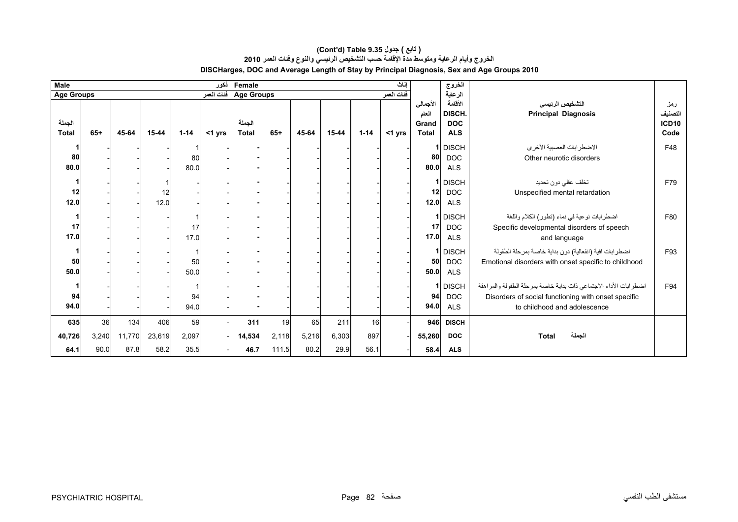#### **الخروج وأيام الرعاية ومتوسط مدة اإلقامة حسب التشخيص الرئيسي والنوع وفئات العمر <sup>2010</sup> DISCHarges, DOC and Average Length of Stay by Principal Diagnosis, Sex and Age Groups 2010 (Cont'd) Table 9.35 جدول ) تابع(**

| <b>Male</b>            |                     |                                     |                       |                     | نكور   | Female                 | اناث                 |                     |                      |                   |           |                                            | الخروج                                        |                                                                                                                                                          |                                        |
|------------------------|---------------------|-------------------------------------|-----------------------|---------------------|--------|------------------------|----------------------|---------------------|----------------------|-------------------|-----------|--------------------------------------------|-----------------------------------------------|----------------------------------------------------------------------------------------------------------------------------------------------------------|----------------------------------------|
| <b>Age Groups</b>      |                     | Age Groups فَات العمر<br>فنات العمر |                       |                     |        |                        |                      |                     | الرعاية              |                   |           |                                            |                                               |                                                                                                                                                          |                                        |
| الجملة<br><b>Total</b> | $65+$               | 45-64                               | $15 - 44$             | $1 - 14$            | <1 yrs | الجملة<br><b>Total</b> | $65+$                | 45-64               | $15 - 44$            | $1 - 14$          | $<$ 1 yrs | الأجمالي<br>العام<br>Grand<br><b>Total</b> | الأقامة<br>DISCH.<br><b>DOC</b><br><b>ALS</b> | التشخيص الرئيسى<br><b>Principal Diagnosis</b>                                                                                                            | رمز<br>التصنيف<br><b>ICD10</b><br>Code |
| 80<br>80.0             |                     |                                     |                       | 80<br>80.0          |        |                        |                      |                     |                      |                   |           | 80<br>80.0                                 | 1 DISCH<br><b>DOC</b><br><b>ALS</b>           | الاضطرابات العصبية الأخرى<br>Other neurotic disorders                                                                                                    | F48                                    |
| 12<br>$12.0$           |                     |                                     | 12<br>12.0            |                     |        |                        |                      |                     |                      |                   |           | 12 <sup>1</sup><br>12.0                    | 1 DISCH<br><b>DOC</b><br><b>ALS</b>           | تخلف عقلي دون تحديد<br>Unspecified mental retardation                                                                                                    | F79                                    |
| 17<br>17.0             |                     |                                     |                       | 17<br>17.0          |        |                        |                      |                     |                      |                   |           | 17<br>17.0                                 | 1 DISCH<br><b>DOC</b><br><b>ALS</b>           | اضطرابات نوعية في نماء (تطور) الكلام واللغة<br>Specific developmental disorders of speech<br>and language                                                | F80                                    |
| 50<br>50.0             |                     |                                     |                       | 50<br>50.0          |        |                        |                      |                     |                      |                   |           | 50<br>50.0                                 | 1 DISCH<br><b>DOC</b><br><b>ALS</b>           | اضطرابات افية (انفعالية) دون بداية خاصة بمرحلة الطفولة<br>Emotional disorders with onset specific to childhood                                           | F93                                    |
| 94<br>94.0             |                     |                                     |                       | 94<br>94.0          |        |                        |                      |                     |                      |                   |           | 94<br>94.0                                 | 1 DISCH<br><b>DOC</b><br><b>ALS</b>           | اضطرابات الأداء الاجتماعي ذات بداية خاصة بمرحلة الطفولة والمراهقة<br>Disorders of social functioning with onset specific<br>to childhood and adolescence | F94                                    |
| 635<br>40,726<br>64.1  | 36<br>3,240<br>90.0 | 134<br>11,770<br>87.8               | 406<br>23,619<br>58.2 | 59<br>2,097<br>35.5 |        | 311<br>14,534<br>46.7  | 19<br>2,118<br>111.5 | 65<br>5,216<br>80.2 | 211<br>6,303<br>29.9 | 16<br>897<br>56.1 |           | 946<br>55,260<br>58.4                      | <b>DISCH</b><br><b>DOC</b><br><b>ALS</b>      | الجملة<br><b>Total</b>                                                                                                                                   |                                        |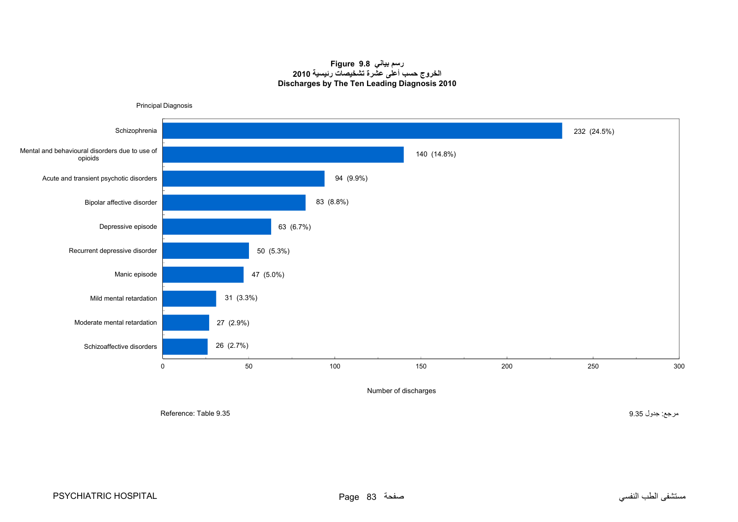#### **رسم بياني 9.8 Figure الخروج حسب أعلى عشرة تشخيصات رئيسية <sup>2010</sup> Discharges by The Ten Leading Diagnosis 2010**

<span id="page-15-0"></span>